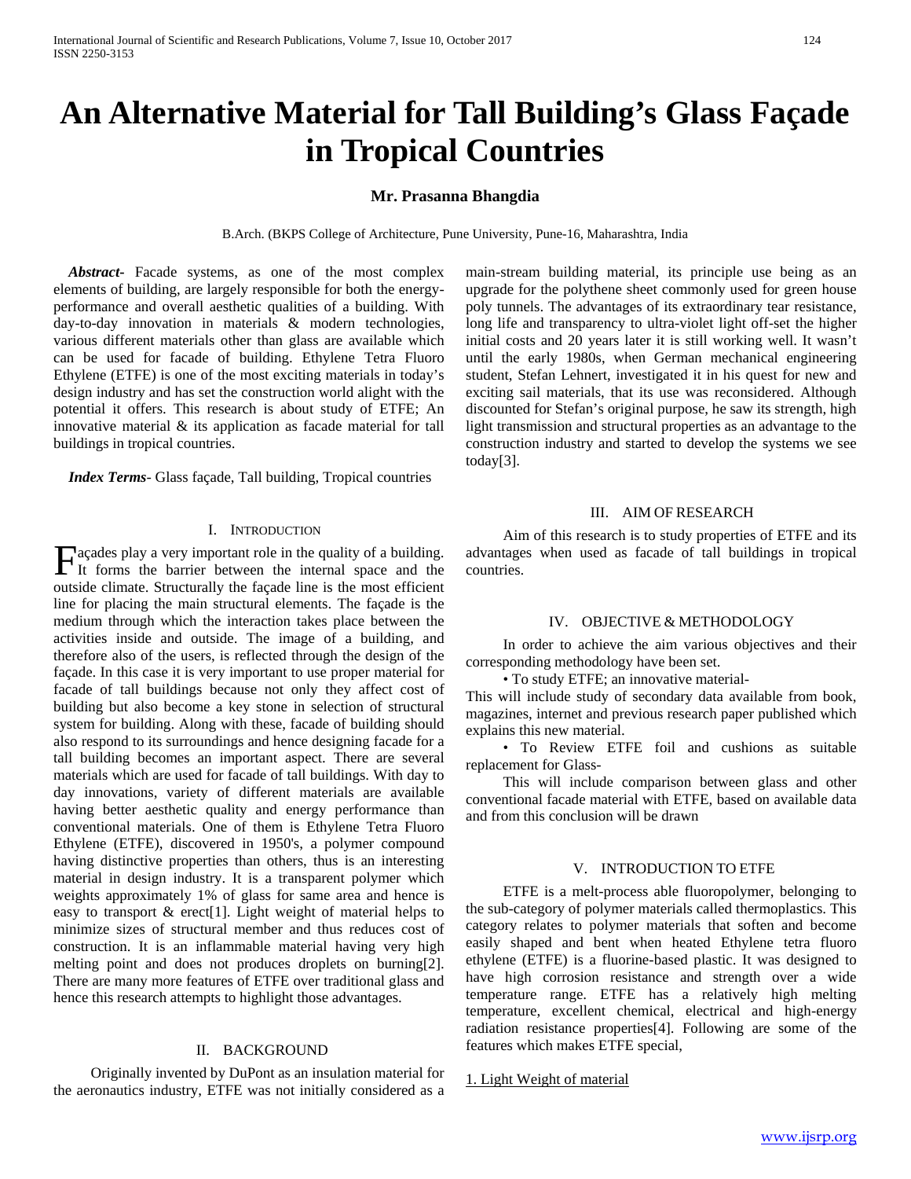# **An Alternative Material for Tall Building's Glass Façade in Tropical Countries**

# **Mr. Prasanna Bhangdia**

B.Arch. (BKPS College of Architecture, Pune University, Pune-16, Maharashtra, India

 *Abstract***-** Facade systems, as one of the most complex elements of building, are largely responsible for both the energyperformance and overall aesthetic qualities of a building. With day-to-day innovation in materials & modern technologies, various different materials other than glass are available which can be used for facade of building. Ethylene Tetra Fluoro Ethylene (ETFE) is one of the most exciting materials in today's design industry and has set the construction world alight with the potential it offers. This research is about study of ETFE; An innovative material & its application as facade material for tall buildings in tropical countries.

 *Index Terms*- Glass façade, Tall building, Tropical countries

#### I. INTRODUCTION

açades play a very important role in the quality of a building.  $\prod$  acades play a very important role in the quality of a building.<br>It forms the barrier between the internal space and the title distribution of the space of the space of the space of the space of the space of the space outside climate. Structurally the façade line is the most efficient line for placing the main structural elements. The façade is the medium through which the interaction takes place between the activities inside and outside. The image of a building, and therefore also of the users, is reflected through the design of the façade. In this case it is very important to use proper material for facade of tall buildings because not only they affect cost of building but also become a key stone in selection of structural system for building. Along with these, facade of building should also respond to its surroundings and hence designing facade for a tall building becomes an important aspect. There are several materials which are used for facade of tall buildings. With day to day innovations, variety of different materials are available having better aesthetic quality and energy performance than conventional materials. One of them is Ethylene Tetra Fluoro Ethylene (ETFE), discovered in 1950's, a polymer compound having distinctive properties than others, thus is an interesting material in design industry. It is a transparent polymer which weights approximately 1% of glass for same area and hence is easy to transport & erect[1]. Light weight of material helps to minimize sizes of structural member and thus reduces cost of construction. It is an inflammable material having very high melting point and does not produces droplets on burning[2]. There are many more features of ETFE over traditional glass and hence this research attempts to highlight those advantages.

#### II. BACKGROUND

 Originally invented by DuPont as an insulation material for the aeronautics industry, ETFE was not initially considered as a main-stream building material, its principle use being as an upgrade for the polythene sheet commonly used for green house poly tunnels. The advantages of its extraordinary tear resistance, long life and transparency to ultra-violet light off-set the higher initial costs and 20 years later it is still working well. It wasn't until the early 1980s, when German mechanical engineering student, Stefan Lehnert, investigated it in his quest for new and exciting sail materials, that its use was reconsidered. Although discounted for Stefan's original purpose, he saw its strength, high light transmission and structural properties as an advantage to the construction industry and started to develop the systems we see today[3].

#### III. AIM OF RESEARCH

 Aim of this research is to study properties of ETFE and its advantages when used as facade of tall buildings in tropical countries.

### IV. OBJECTIVE & METHODOLOGY

 In order to achieve the aim various objectives and their corresponding methodology have been set.

• To study ETFE; an innovative material-

This will include study of secondary data available from book, magazines, internet and previous research paper published which explains this new material.

 • To Review ETFE foil and cushions as suitable replacement for Glass-

 This will include comparison between glass and other conventional facade material with ETFE, based on available data and from this conclusion will be drawn

#### V. INTRODUCTION TO ETFE

 ETFE is a melt-process able fluoropolymer, belonging to the sub-category of polymer materials called thermoplastics. This category relates to polymer materials that soften and become easily shaped and bent when heated Ethylene tetra fluoro ethylene (ETFE) is a fluorine-based plastic. It was designed to have high corrosion resistance and strength over a wide temperature range. ETFE has a relatively high melting temperature, excellent chemical, electrical and high-energy radiation resistance properties[4]. Following are some of the features which makes ETFE special,

#### 1. Light Weight of material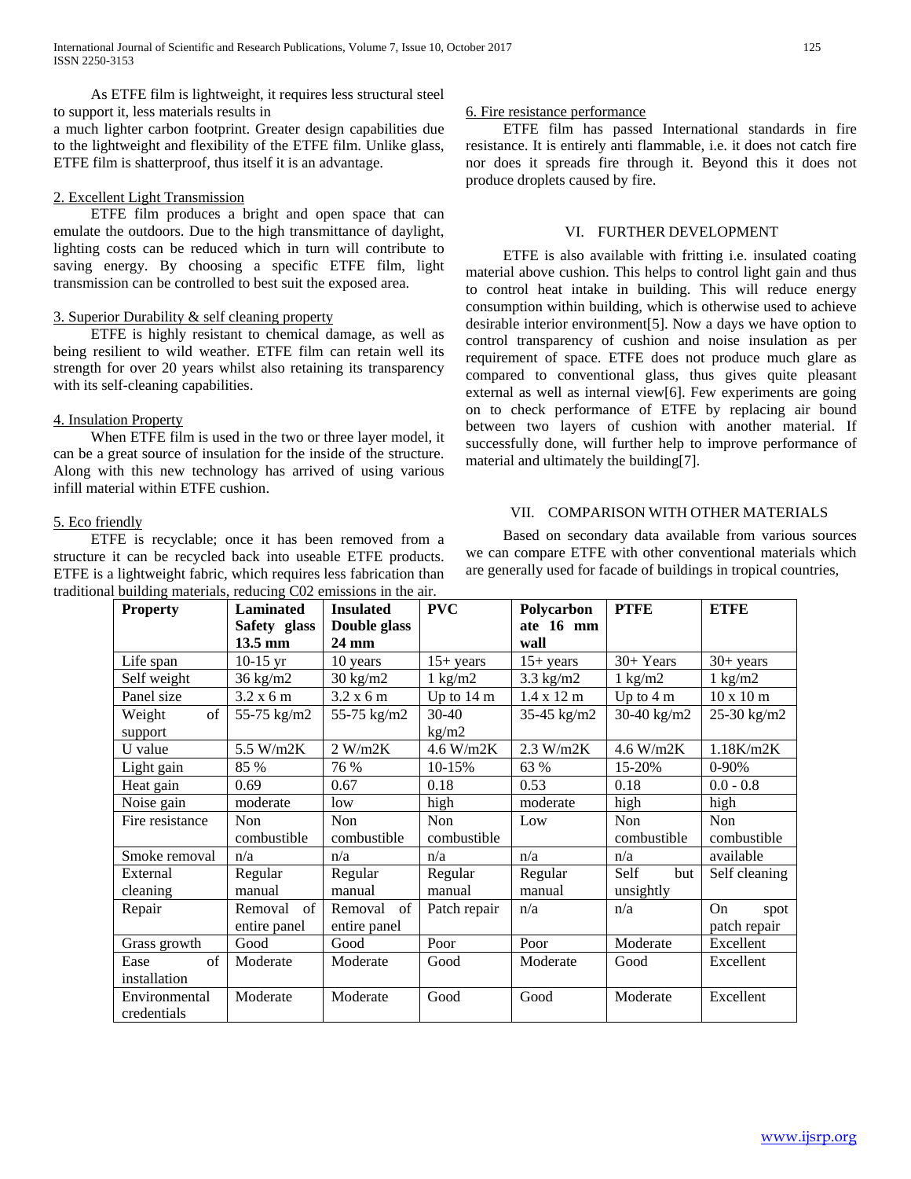As ETFE film is lightweight, it requires less structural steel to support it, less materials results in

a much lighter carbon footprint. Greater design capabilities due to the lightweight and flexibility of the ETFE film. Unlike glass, ETFE film is shatterproof, thus itself it is an advantage.

## 2. Excellent Light Transmission

 ETFE film produces a bright and open space that can emulate the outdoors. Due to the high transmittance of daylight, lighting costs can be reduced which in turn will contribute to saving energy. By choosing a specific ETFE film, light transmission can be controlled to best suit the exposed area.

# 3. Superior Durability & self cleaning property

 ETFE is highly resistant to chemical damage, as well as being resilient to wild weather. ETFE film can retain well its strength for over 20 years whilst also retaining its transparency with its self-cleaning capabilities.

# 4. Insulation Property

 When ETFE film is used in the two or three layer model, it can be a great source of insulation for the inside of the structure. Along with this new technology has arrived of using various infill material within ETFE cushion.

# 5. Eco friendly

 ETFE is recyclable; once it has been removed from a structure it can be recycled back into useable ETFE products. ETFE is a lightweight fabric, which requires less fabrication than traditional building materials, reducing C02 emissions in the air.

## 6. Fire resistance performance

 ETFE film has passed International standards in fire resistance. It is entirely anti flammable, i.e. it does not catch fire nor does it spreads fire through it. Beyond this it does not produce droplets caused by fire.

# VI. FURTHER DEVELOPMENT

 ETFE is also available with fritting i.e. insulated coating material above cushion. This helps to control light gain and thus to control heat intake in building. This will reduce energy consumption within building, which is otherwise used to achieve desirable interior environment[5]. Now a days we have option to control transparency of cushion and noise insulation as per requirement of space. ETFE does not produce much glare as compared to conventional glass, thus gives quite pleasant external as well as internal view[6]. Few experiments are going on to check performance of ETFE by replacing air bound between two layers of cushion with another material. If successfully done, will further help to improve performance of material and ultimately the building[7].

# VII. COMPARISON WITH OTHER MATERIALS

 Based on secondary data available from various sources we can compare ETFE with other conventional materials which are generally used for facade of buildings in tropical countries,

| $\alpha$ building materials, reducing $Coz$ emissions in the an. |                   |                    |                      |                           |                     |                          |
|------------------------------------------------------------------|-------------------|--------------------|----------------------|---------------------------|---------------------|--------------------------|
| <b>Property</b>                                                  | <b>Laminated</b>  | <b>Insulated</b>   | <b>PVC</b>           | Polycarbon                | <b>PTFE</b>         | <b>ETFE</b>              |
|                                                                  | Safety glass      | Double glass       |                      | ate 16 mm                 |                     |                          |
|                                                                  | $13.5 \text{ mm}$ | 24 mm              |                      | wall                      |                     |                          |
| Life span                                                        | $10-15$ yr        | 10 years           | $15+ years$          | $15+ years$               | 30+ Years           | $30+ years$              |
| Self weight                                                      | 36 kg/m2          | $30 \text{ kg/m2}$ | $1 \text{ kg/m2}$    | $3.3$ kg/m2               | $1 \text{ kg/m2}$   | $1 \text{ kg/m2}$        |
| Panel size                                                       | 3.2 x 6 m         | 3.2 x 6 m          | Up to $14 \text{ m}$ | $1.4 \times 12 \text{ m}$ | Up to $4 \text{ m}$ | $10 \times 10 \text{ m}$ |
| of<br>Weight                                                     | 55-75 kg/m2       | 55-75 kg/m2        | $30-40$              | 35-45 kg/m2               | 30-40 $kg/m2$       | 25-30 kg/m2              |
| support                                                          |                   |                    | kg/m2                |                           |                     |                          |
| U value                                                          | 5.5 W/m2K         | 2 W/m2K            | 4.6 W/m2K            | 2.3 W/m2K                 | 4.6 W/m2K           | 1.18K/m2K                |
| Light gain                                                       | 85 %              | 76 %               | 10-15%               | 63 %                      | 15-20%              | $0-90%$                  |
| Heat gain                                                        | 0.69              | 0.67               | 0.18                 | 0.53                      | 0.18                | $0.0 - 0.8$              |
| Noise gain                                                       | moderate          | low                | high                 | moderate                  | high                | high                     |
| Fire resistance                                                  | Non               | Non                | <b>Non</b>           | Low                       | Non                 | Non                      |
|                                                                  | combustible       | combustible        | combustible          |                           | combustible         | combustible              |
| Smoke removal                                                    | n/a               | n/a                | n/a                  | n/a                       | n/a                 | available                |
| External                                                         | Regular           | Regular            | Regular              | Regular                   | Self<br>but         | Self cleaning            |
| cleaning                                                         | manual            | manual             | manual               | manual                    | unsightly           |                          |
| Repair                                                           | Removal of        | Removal<br>of      | Patch repair         | n/a                       | n/a                 | <b>On</b><br>spot        |
|                                                                  | entire panel      | entire panel       |                      |                           |                     | patch repair             |
| Grass growth                                                     | Good              | Good               | Poor                 | Poor                      | Moderate            | Excellent                |
| of<br>Ease                                                       | Moderate          | Moderate           | Good                 | Moderate                  | Good                | Excellent                |
| installation                                                     |                   |                    |                      |                           |                     |                          |
| Environmental                                                    | Moderate          | Moderate           | Good                 | Good                      | Moderate            | Excellent                |
| credentials                                                      |                   |                    |                      |                           |                     |                          |